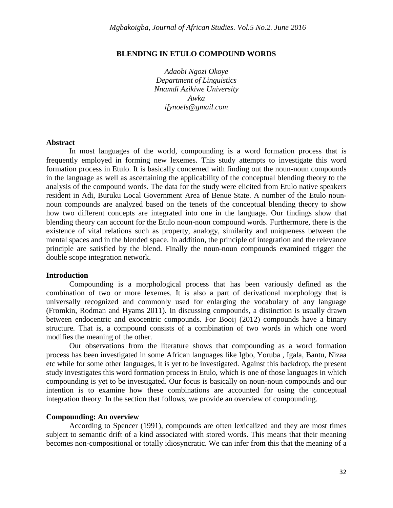# **BLENDING IN ETULO COMPOUND WORDS**

*Adaobi Ngozi Okoye Department of Linguistics Nnamdi Azikiwe University Awka ifynoels@gmail.com*

### **Abstract**

In most languages of the world, compounding is a word formation process that is frequently employed in forming new lexemes. This study attempts to investigate this word formation process in Etulo. It is basically concerned with finding out the noun-noun compounds in the language as well as ascertaining the applicability of the conceptual blending theory to the analysis of the compound words. The data for the study were elicited from Etulo native speakers resident in Adi, Buruku Local Government Area of Benue State. A number of the Etulo nounnoun compounds are analyzed based on the tenets of the conceptual blending theory to show how two different concepts are integrated into one in the language. Our findings show that blending theory can account for the Etulo noun-noun compound words. Furthermore, there is the existence of vital relations such as property, analogy, similarity and uniqueness between the mental spaces and in the blended space. In addition, the principle of integration and the relevance principle are satisfied by the blend. Finally the noun-noun compounds examined trigger the double scope integration network.

#### **Introduction**

Compounding is a morphological process that has been variously defined as the combination of two or more lexemes. It is also a part of derivational morphology that is universally recognized and commonly used for enlarging the vocabulary of any language (Fromkin, Rodman and Hyams 2011). In discussing compounds, a distinction is usually drawn between endocentric and exocentric compounds. For Booij (2012) compounds have a binary structure. That is, a compound consists of a combination of two words in which one word modifies the meaning of the other.

Our observations from the literature shows that compounding as a word formation process has been investigated in some African languages like Igbo, Yoruba , Igala, Bantu, Nizaa etc while for some other languages, it is yet to be investigated. Against this backdrop, the present study investigates this word formation process in Etulo, which is one of those languages in which compounding is yet to be investigated. Our focus is basically on noun-noun compounds and our intention is to examine how these combinations are accounted for using the conceptual integration theory. In the section that follows, we provide an overview of compounding.

#### **Compounding: An overview**

According to Spencer (1991), compounds are often lexicalized and they are most times subject to semantic drift of a kind associated with stored words. This means that their meaning becomes non-compositional or totally idiosyncratic. We can infer from this that the meaning of a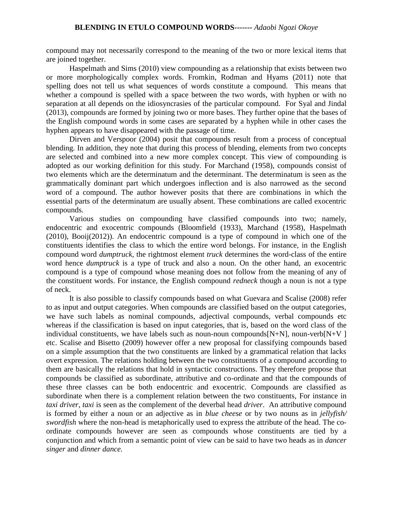compound may not necessarily correspond to the meaning of the two or more lexical items that are joined together.

Haspelmath and Sims (2010) view compounding as a relationship that exists between two or more morphologically complex words. Fromkin, Rodman and Hyams (2011) note that spelling does not tell us what sequences of words constitute a compound. This means that whether a compound is spelled with a space between the two words, with hyphen or with no separation at all depends on the idiosyncrasies of the particular compound. For Syal and Jindal (2013), compounds are formed by joining two or more bases. They further opine that the bases of the English compound words in some cases are separated by a hyphen while in other cases the hyphen appears to have disappeared with the passage of time.

Dirven and Verspoor (2004) posit that compounds result from a process of conceptual blending. In addition, they note that during this process of blending, elements from two concepts are selected and combined into a new more complex concept. This view of compounding is adopted as our working definition for this study. For Marchand (1958), compounds consist of two elements which are the determinatum and the determinant. The determinatum is seen as the grammatically dominant part which undergoes inflection and is also narrowed as the second word of a compound. The author however posits that there are combinations in which the essential parts of the determinatum are usually absent. These combinations are called exocentric compounds.

Various studies on compounding have classified compounds into two; namely, endocentric and exocentric compounds (Bloomfield (1933), Marchand (1958), Haspelmath (2010), Booij(2012)). An endocentric compound is a type of compound in which one of the constituents identifies the class to which the entire word belongs. For instance, in the English compound word *dumptruck,* the rightmost element *truck* determines the word-class of the entire word hence *dumptruck* is a type of truck and also a noun. On the other hand, an exocentric compound is a type of compound whose meaning does not follow from the meaning of any of the constituent words. For instance, the English compound *redneck* though a noun is not a type of neck.

It is also possible to classify compounds based on what Guevara and Scalise (2008) refer to as input and output categories. When compounds are classified based on the output categories, we have such labels as nominal compounds, adjectival compounds, verbal compounds etc whereas if the classification is based on input categories, that is, based on the word class of the individual constituents, we have labels such as noun-noun compounds $[N+N]$ , noun-verb $[N+V]$ etc. Scalise and Bisetto (2009) however offer a new proposal for classifying compounds based on a simple assumption that the two constituents are linked by a grammatical relation that lacks overt expression. The relations holding between the two constituents of a compound according to them are basically the relations that hold in syntactic constructions. They therefore propose that compounds be classified as subordinate, attributive and co-ordinate and that the compounds of these three classes can be both endocentric and exocentric. Compounds are classified as subordinate when there is a complement relation between the two constituents, For instance in *taxi driver*, *taxi* is seen as the complement of the deverbal head *driver*. An attributive compound is formed by either a noun or an adjective as in *blue cheese* or by two nouns as in *jellyfish/ swordfish* where the non-head is metaphorically used to express the attribute of the head. The coordinate compounds however are seen as compounds whose constituents are tied by a conjunction and which from a semantic point of view can be said to have two heads as in *dancer singer* and *dinner dance.*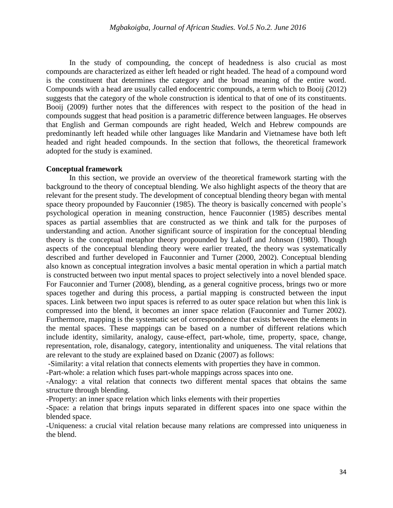In the study of compounding, the concept of headedness is also crucial as most compounds are characterized as either left headed or right headed. The head of a compound word is the constituent that determines the category and the broad meaning of the entire word. Compounds with a head are usually called endocentric compounds, a term which to Booij (2012) suggests that the category of the whole construction is identical to that of one of its constituents. Booij (2009) further notes that the differences with respect to the position of the head in compounds suggest that head position is a parametric difference between languages. He observes that English and German compounds are right headed, Welch and Hebrew compounds are predominantly left headed while other languages like Mandarin and Vietnamese have both left headed and right headed compounds. In the section that follows, the theoretical framework adopted for the study is examined.

## **Conceptual framework**

In this section, we provide an overview of the theoretical framework starting with the background to the theory of conceptual blending. We also highlight aspects of the theory that are relevant for the present study. The development of conceptual blending theory began with mental space theory propounded by Fauconnier (1985). The theory is basically concerned with people's psychological operation in meaning construction, hence Fauconnier (1985) describes mental spaces as partial assemblies that are constructed as we think and talk for the purposes of understanding and action. Another significant source of inspiration for the conceptual blending theory is the conceptual metaphor theory propounded by Lakoff and Johnson (1980). Though aspects of the conceptual blending theory were earlier treated, the theory was systematically described and further developed in Fauconnier and Turner (2000, 2002). Conceptual blending also known as conceptual integration involves a basic mental operation in which a partial match is constructed between two input mental spaces to project selectively into a novel blended space. For Fauconnier and Turner (2008), blending, as a general cognitive process, brings two or more spaces together and during this process, a partial mapping is constructed between the input spaces. Link between two input spaces is referred to as outer space relation but when this link is compressed into the blend, it becomes an inner space relation (Fauconnier and Turner 2002). Furthermore, mapping is the systematic set of correspondence that exists between the elements in the mental spaces. These mappings can be based on a number of different relations which include identity, similarity, analogy, cause-effect, part-whole, time, property, space, change, representation, role, disanalogy, category, intentionality and uniqueness. The vital relations that are relevant to the study are explained based on Dzanic (2007) as follows:

-Similarity: a vital relation that connects elements with properties they have in common.

-Part-whole: a relation which fuses part-whole mappings across spaces into one.

-Analogy: a vital relation that connects two different mental spaces that obtains the same structure through blending.

-Property: an inner space relation which links elements with their properties

-Space: a relation that brings inputs separated in different spaces into one space within the blended space.

-Uniqueness: a crucial vital relation because many relations are compressed into uniqueness in the blend.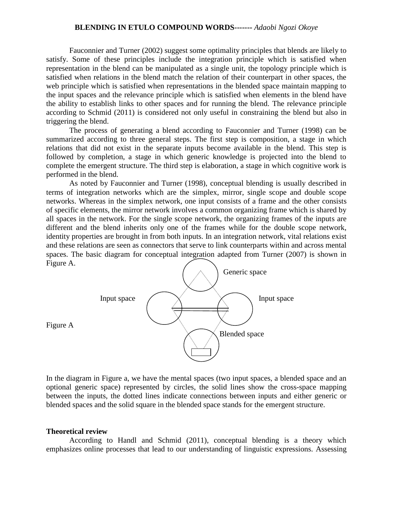### **BLENDING IN ETULO COMPOUND WORDS-------** *Adaobi Ngozi Okoye*

Fauconnier and Turner (2002) suggest some optimality principles that blends are likely to satisfy. Some of these principles include the integration principle which is satisfied when representation in the blend can be manipulated as a single unit, the topology principle which is satisfied when relations in the blend match the relation of their counterpart in other spaces, the web principle which is satisfied when representations in the blended space maintain mapping to the input spaces and the relevance principle which is satisfied when elements in the blend have the ability to establish links to other spaces and for running the blend. The relevance principle according to Schmid (2011) is considered not only useful in constraining the blend but also in triggering the blend.

The process of generating a blend according to Fauconnier and Turner (1998) can be summarized according to three general steps. The first step is composition, a stage in which relations that did not exist in the separate inputs become available in the blend. This step is followed by completion, a stage in which generic knowledge is projected into the blend to complete the emergent structure. The third step is elaboration, a stage in which cognitive work is performed in the blend.

As noted by Fauconnier and Turner (1998), conceptual blending is usually described in terms of integration networks which are the simplex, mirror, single scope and double scope networks. Whereas in the simplex network, one input consists of a frame and the other consists of specific elements, the mirror network involves a common organizing frame which is shared by all spaces in the network. For the single scope network, the organizing frames of the inputs are different and the blend inherits only one of the frames while for the double scope network, identity properties are brought in from both inputs. In an integration network, vital relations exist and these relations are seen as connectors that serve to link counterparts within and across mental spaces. The basic diagram for conceptual integration adapted from Turner (2007) is shown in Figure A.



Figure A

In the diagram in Figure a, we have the mental spaces (two input spaces, a blended space and an optional generic space) represented by circles, the solid lines show the cross-space mapping between the inputs, the dotted lines indicate connections between inputs and either generic or blended spaces and the solid square in the blended space stands for the emergent structure.

#### **Theoretical review**

According to Handl and Schmid (2011), conceptual blending is a theory which emphasizes online processes that lead to our understanding of linguistic expressions. Assessing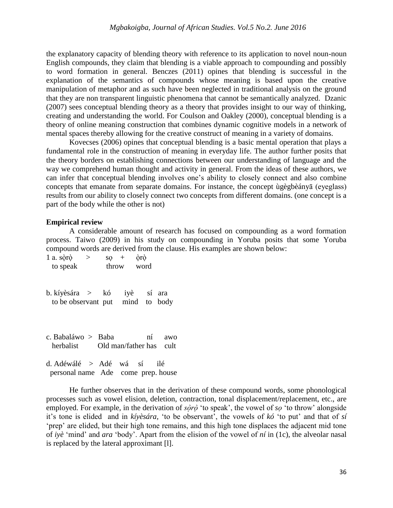the explanatory capacity of blending theory with reference to its application to novel noun-noun English compounds, they claim that blending is a viable approach to compounding and possibly to word formation in general. Benczes (2011) opines that blending is successful in the explanation of the semantics of compounds whose meaning is based upon the creative manipulation of metaphor and as such have been neglected in traditional analysis on the ground that they are non transparent linguistic phenomena that cannot be semantically analyzed. Dzanic (2007) sees conceptual blending theory as a theory that provides insight to our way of thinking, creating and understanding the world. For Coulson and Oakley (2000), conceptual blending is a theory of online meaning construction that combines dynamic cognitive models in a network of mental spaces thereby allowing for the creative construct of meaning in a variety of domains.

Kovecses (2006) opines that conceptual blending is a basic mental operation that plays a fundamental role in the construction of meaning in everyday life. The author further posits that the theory borders on establishing connections between our understanding of language and the way we comprehend human thought and activity in general. From the ideas of these authors, we can infer that conceptual blending involves one's ability to closely connect and also combine concepts that emanate from separate domains. For instance, the concept ùgègbèányā (eyeglass) results from our ability to closely connect two concepts from different domains. (one concept is a part of the body while the other is not)

### **Empirical review**

A considerable amount of research has focused on compounding as a word formation process. Taiwo (2009) in his study on compounding in Yoruba posits that some Yoruba compound words are derived from the clause. His examples are shown below:

| 1 a. soro $>$<br>to speak                                       |  | $\begin{array}{ccc} 80 & + \end{array}$<br>throw word | òrò |                 |     |
|-----------------------------------------------------------------|--|-------------------------------------------------------|-----|-----------------|-----|
| b. kíyèsára > kó iyè sí ara<br>to be observant put mind to body |  |                                                       |     |                 |     |
| c. Babaláwo > Baba<br>herbalist Old man/father has cult         |  |                                                       |     | n1              | awo |
| d. Adéwálé > Adé wá sí                                          |  |                                                       |     | <sub>1</sub>  é |     |

personal name Ade come prep. house

He further observes that in the derivation of these compound words, some phonological processes such as vowel elision, deletion, contraction, tonal displacement/replacement, etc., are employed. For example, in the derivation of  $s\dot{\rho}r\dot{\rho}$  'to speak', the vowel of s<sub>*o*</sub> 'to throw' alongside it's tone is elided and in *kíyèsára,* 'to be observant', the vowels of *kó* 'to put' and that of *sí*  'prep' are elided, but their high tone remains, and this high tone displaces the adjacent mid tone of *iyè* 'mind' and *ara* 'body' Apart from the elision of the vowel of *ní* in (1c), the alveolar nasal is replaced by the lateral approximant [l].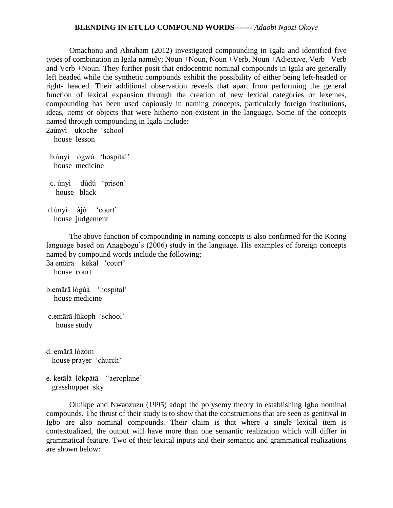## **BLENDING IN ETULO COMPOUND WORDS-------** *Adaobi Ngozi Okoye*

Omachonu and Abraham (2012) investigated compounding in Igala and identified five types of combination in Igala namely; Noun +Noun, Noun +Verb, Noun +Adjective, Verb +Verb and Verb +Noun. They further posit that endocentric nominal compounds in Igala are generally left headed while the synthetic compounds exhibit the possibility of either being left-headed or right- headed. Their additional observation reveals that apart from performing the general function of lexical expansion through the creation of new lexical categories or lexemes, compounding has been used copiously in naming concepts, particularly foreign institutions, ideas, items or objects that were hitherto non-existent in the language. Some of the concepts named through compounding in Igala include:

2aúnyì ukoche 'school' house lesson b únyì ógwù 'hospital' house medicine c. únyì dúdú 'prison' house black d.únyì àjó 'court' house judgement

The above function of compounding in naming concepts is also confirmed for the Koring language based on Anagbogu's (2006) study in the language. His examples of foreign concepts named by compound words include the following;

3a emārā kēkāl 'court' house court

```
b emārā lògùà 'hospital'
   house medicine
```

```
c emārā lūkoph 'school'
   house study
```
d. emārā lòzòm house prayer 'church'

e ketālā lōkpātā "aeroplane" grasshopper sky

Oluikpe and Nwaozuzu (1995) adopt the polysemy theory in establishing Igbo nominal compounds. The thrust of their study is to show that the constructions that are seen as genitival in Igbo are also nominal compounds. Their claim is that where a single lexical item is contextualized, the output will have more than one semantic realization which will differ in grammatical feature. Two of their lexical inputs and their semantic and grammatical realizations are shown below: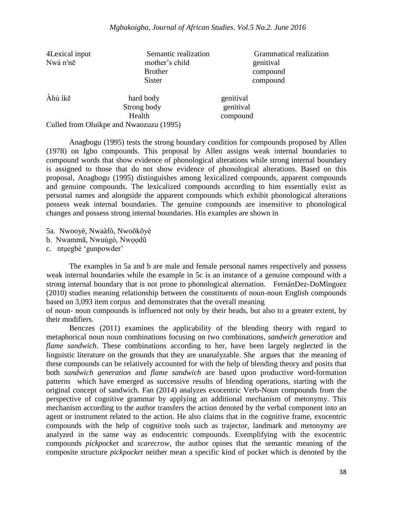| 4Lexical input | Semantic realization                    | Grammatical realization |
|----------------|-----------------------------------------|-------------------------|
| Nwá n'nē       | mother's child                          | genitival               |
|                | <b>Brother</b>                          | compound                |
|                | <b>Sister</b>                           | compound                |
| Àhú íkē        | hard body                               | genitival               |
|                | Strong body                             | genitival               |
|                | Health                                  | compound                |
|                | Culled from Oluikpe and Nwaozuzu (1995) |                         |

Anagbogu (1995) tests the strong boundary condition for compounds proposed by Allen (1978) on Igbo compounds. This proposal by Allen assigns weak internal boundaries to compound words that show evidence of phonological alterations while strong internal boundary is assigned to those that do not show evidence of phonological alterations. Based on this proposal, Anagbogu (1995) distinguishes among lexicalized compounds, apparent compounds and genuine compounds. The lexicalized compounds according to him essentially exist as personal names and alongside the apparent compounds which exhibit phonological alterations possess weak internal boundaries. The genuine compounds are insensitive to phonological changes and possess strong internal boundaries. His examples are shown in

5a. Nwooyè, Nwaàfò, Nwoōkōyè b. Nwammā, Nwuùgò, Nwoodū

c. ntuegbè 'gunpowder'

The examples in 5a and b are male and female personal names respectively and possess weak internal boundaries while the example in 5c is an instance of a genuine compound with a strong internal boundary that is not prone to phonological alternation. FernánDez-DoMínguez (2010) studies meaning relationship between the constituents of noun-noun English compounds based on 3,093 item corpus and demonstrates that the overall meaning

of noun- noun compounds is influenced not only by their heads, but also to a greater extent, by their modifiers.

Benczes (2011) examines the applicability of the blending theory with regard to metaphorical noun noun combinations focusing on two combinations, *sandwich generation* and *flame sandwich*. These combinations according to her, have been largely neglected in the linguistic literature on the grounds that they are unanalyzable. She argues that the meaning of these compounds can be relatively accounted for with the help of blending theory and posits that both *sandwich generation* and *flame sandwich* are based upon productive word-formation patterns which have emerged as successive results of blending operations, starting with the original concept of sandwich. Fan (2014) analyzes exocentric Verb-Noun compounds from the perspective of cognitive grammar by applying an additional mechanism of metonymy. This mechanism according to the author transfers the action denoted by the verbal component into an agent or instrument related to the action. He also claims that in the cognitive frame, exocentric compounds with the help of cognitive tools such as trajector, landmark and metonymy are analyzed in the same way as endocentric compounds. Exemplifying with the exocentric compounds *pickpocket* and *scarecrow*, the author opines that the semantic meaning of the composite structure *pickpocket* neither mean a specific kind of pocket which is denoted by the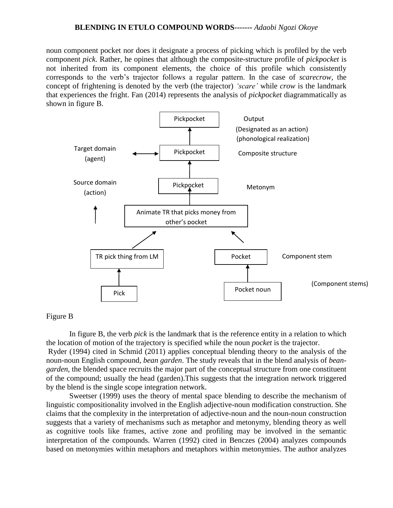# **BLENDING IN ETULO COMPOUND WORDS-------** *Adaobi Ngozi Okoye*

noun component pocket nor does it designate a process of picking which is profiled by the verb component *pick*. Rather, he opines that although the composite-structure profile of *pickpocket* is not inherited from its component elements, the choice of this profile which consistently corresponds to the verb's trajector follows a regular pattern In the case of *scarecrow,* the concept of frightening is denoted by the verb (the trajector) *'scare'* while *crow* is the landmark that experiences the fright. Fan (2014) represents the analysis of *pickpocket* diagrammatically as shown in figure B.



## Figure B

In figure B, the verb *pick* is the landmark that is the reference entity in a relation to which the location of motion of the trajectory is specified while the noun *pocket* is the trajector. Ryder (1994) cited in Schmid (2011) applies conceptual blending theory to the analysis of the

noun-noun English compound, *bean garden*. The study reveals that in the blend analysis of *beangarden*, the blended space recruits the major part of the conceptual structure from one constituent of the compound; usually the head (garden).This suggests that the integration network triggered by the blend is the single scope integration network.

Sweetser (1999) uses the theory of mental space blending to describe the mechanism of linguistic compositionality involved in the English adjective-noun modification construction. She claims that the complexity in the interpretation of adjective-noun and the noun-noun construction suggests that a variety of mechanisms such as metaphor and metonymy, blending theory as well as cognitive tools like frames, active zone and profiling may be involved in the semantic interpretation of the compounds. Warren (1992) cited in Benczes (2004) analyzes compounds based on metonymies within metaphors and metaphors within metonymies. The author analyzes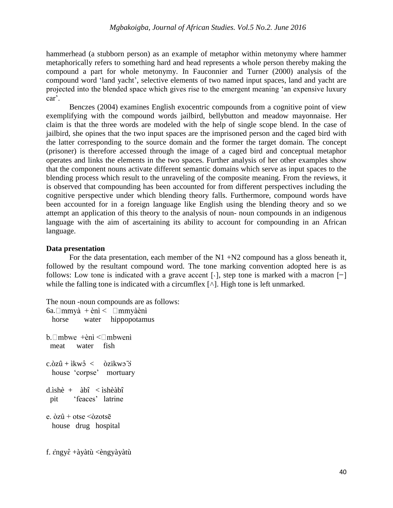hammerhead (a stubborn person) as an example of metaphor within metonymy where hammer metaphorically refers to something hard and head represents a whole person thereby making the compound a part for whole metonymy. In Fauconnier and Turner (2000) analysis of the compound word 'land yacht', selective elements of two named input spaces, land and yacht are projected into the blended space which gives rise to the emergent meaning 'an expensive luxury car'

Benczes (2004) examines English exocentric compounds from a cognitive point of view exemplifying with the compound words jailbird, bellybutton and meadow mayonnaise. Her claim is that the three words are modeled with the help of single scope blend. In the case of jailbird, she opines that the two input spaces are the imprisoned person and the caged bird with the latter corresponding to the source domain and the former the target domain. The concept (prisoner) is therefore accessed through the image of a caged bird and conceptual metaphor operates and links the elements in the two spaces. Further analysis of her other examples show that the component nouns activate different semantic domains which serve as input spaces to the blending process which result to the unraveling of the composite meaning. From the reviews, it is observed that compounding has been accounted for from different perspectives including the cognitive perspective under which blending theory falls. Furthermore, compound words have been accounted for in a foreign language like English using the blending theory and so we attempt an application of this theory to the analysis of noun- noun compounds in an indigenous language with the aim of ascertaining its ability to account for compounding in an African language.

## **Data presentation**

For the data presentation, each member of the  $N1 + N2$  compound has a gloss beneath it, followed by the resultant compound word. The tone marking convention adopted here is as follows: Low tone is indicated with a grave accent [ $\cdot$ ], step tone is marked with a macron [ $\overline{\phantom{a}}$ ] while the falling tone is indicated with a circumflex  $[\wedge]$ . High tone is left unmarked.

The noun -noun compounds are as follows:

```
6a. \Boxmmyà + ènì < \Boxmmyà ènì
   horse water hippopotamus
b. \Box mbwe +\text{èni} < \Box mbweni
  meat water fish
c.\delta z\hat{u} + ikw\hat{v} < \delta zikw\hat{v} house 'corpse' mortuary 
d.ìshè + àbî < ìshèàbî 
  pit 'feaces' latrine
e. \delta z\hat{u} + otse \delta zotsē
   house drug hospital
f. \hat{\varepsilon}ngy\hat{\varepsilon} +àyàtù \langle \hat{\varepsilon}ngyàyàtù
```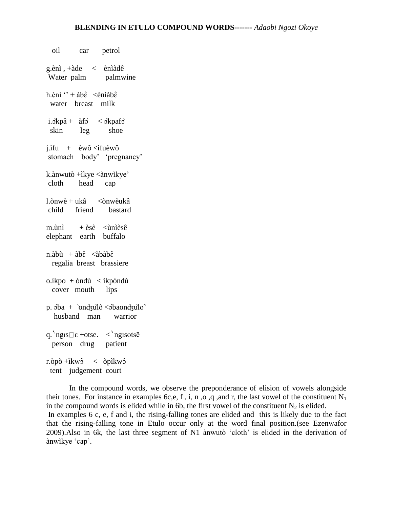oil car petrol g.ènì , +àde < ènìàdê Water palm palmwine h.ènì '' + àb $\hat{\epsilon}$  <ènìàb $\hat{\epsilon}$  water breast milk i. $\delta$ kpâ + àf $\delta$  <  $\delta$ kpaf $\delta$ skin leg shoe j.ìfu + èwô  $\langle$ ìfuèwô stomach body' 'pregnancy' k.ànwutò +ìkye <ànwìkye' cloth head cap l.ònwè + ukâ <ònwèukâ child friend bastard m.ùnì  $+$  èsè  $\langle$ ùnièsê elephant earth buffalo n.àbù + àb $\hat{\epsilon}$  <àbàb $\hat{\epsilon}$  regalia breast brassiere  $o.$ ìkpo + òndù  $\langle$  ìkpòndù cover mouth lips p.  $\delta$ ba + `ondzul $\delta$  <  $\delta$ baondzulo^ husband man warrior q.  $ngIS \Box \varepsilon$  +otse.  $\langle \rangle$ ngisotsē person drug patient r.òpò +ìkw $\hat{c}$  < òpìkw $\hat{c}$ tent judgement court

In the compound words, we observe the preponderance of elision of vowels alongside their tones. For instance in examples 6c,e, f, i, n, o, q, and r, the last vowel of the constituent  $N_1$ in the compound words is elided while in 6b, the first vowel of the constituent  $N_2$  is elided. In examples 6 c, e, f and i, the rising-falling tones are elided and this is likely due to the fact that the rising-falling tone in Etulo occur only at the word final position.(see Ezenwafor 2009). Also in 6k, the last three segment of N1 ànwutò 'cloth' is elided in the derivation of ànwìkye 'cap'.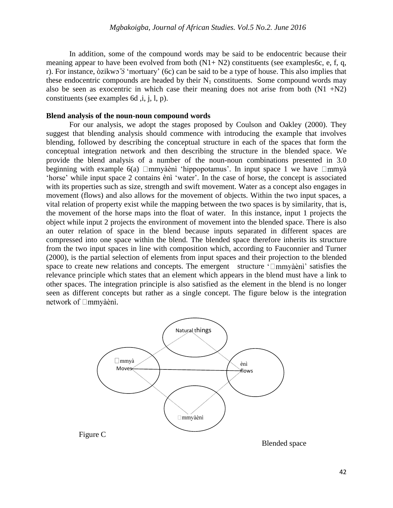In addition, some of the compound words may be said to be endocentric because their meaning appear to have been evolved from both  $(N1 + N2)$  constituents (see examples6c, e, f, q, r). For instance,  $\delta$ zikwo  $\delta$  'mortuary' (6c) can be said to be a type of house. This also implies that these endocentric compounds are headed by their  $N_1$  constituents. Some compound words may also be seen as exocentric in which case their meaning does not arise from both  $(N1 + N2)$ constituents (see examples 6d, i, j, l, p).

#### **Blend analysis of the noun-noun compound words**

For our analysis, we adopt the stages proposed by Coulson and Oakley (2000). They suggest that blending analysis should commence with introducing the example that involves blending, followed by describing the conceptual structure in each of the spaces that form the conceptual integration network and then describing the structure in the blended space. We provide the blend analysis of a number of the noun-noun combinations presented in 3.0 beginning with example 6(a)  $\Box$ mmyàènì 'hippopotamus'. In input space 1 we have  $\Box$ mmyà 'horse' while input space 2 contains ènì 'water'. In the case of horse, the concept is associated with its properties such as size, strength and swift movement. Water as a concept also engages in movement (flows) and also allows for the movement of objects. Within the two input spaces, a vital relation of property exist while the mapping between the two spaces is by similarity, that is, the movement of the horse maps into the float of water. In this instance, input 1 projects the object while input 2 projects the environment of movement into the blended space. There is also an outer relation of space in the blend because inputs separated in different spaces are compressed into one space within the blend. The blended space therefore inherits its structure from the two input spaces in line with composition which, according to Fauconnier and Turner (2000), is the partial selection of elements from input spaces and their projection to the blended space to create new relations and concepts. The emergent structure  $\Box$ mmyaeni satisfies the relevance principle which states that an element which appears in the blend must have a link to other spaces. The integration principle is also satisfied as the element in the blend is no longer seen as different concepts but rather as a single concept. The figure below is the integration network of □mmyàènì.



Blended space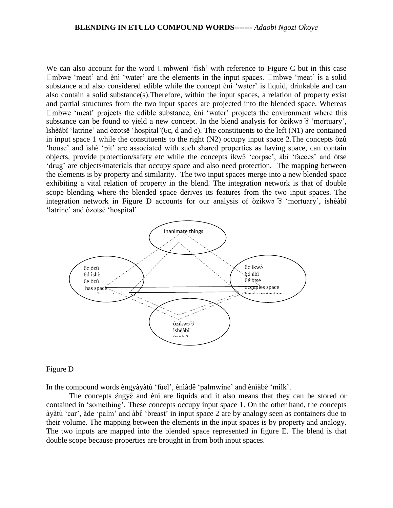We can also account for the word  $\Box$ mbwend 'fish' with reference to Figure C but in this case  $\Box$ mbwe 'meat' and ènì 'water' are the elements in the input spaces.  $\Box$ mbwe 'meat' is a solid substance and also considered edible while the concept ènì 'water' is liquid, drinkable and can also contain a solid substance(s).Therefore, within the input spaces, a relation of property exist and partial structures from the two input spaces are projected into the blended space. Whereas  $\Box$ mbwe 'meat' projects the edible substance, ènì 'water' projects the environment where this substance can be found to yield a new concept. In the blend analysis for  $\delta$ zikwo  $\delta$  'mortuary', ìshèàbî 'latrine' and òzotsē 'hospital'(6c, d and e). The constituents to the left (N1) are contained in input space 1 while the constituents to the right (N2) occupy input space 2.The concepts òzû 'house' and ìshè 'pit' are associated with such shared properties as having space, can contain objects, provide protection/safety etc while the concepts ìkw 'corpse', àbî 'faeces' and òtse 'drug' are objects/materials that occupy space and also need protection. The mapping between the elements is by property and similarity. The two input spaces merge into a new blended space exhibiting a vital relation of property in the blend. The integration network is that of double scope blending where the blended space derives its features from the two input spaces. The integration network in Figure D accounts for our analysis of òzikw  $\overline{\cdot}$  'mortuary', ìshèàbî 'latrine' and  $\delta$ zotsē 'hospital'



#### Figure D

In the compound words èngyàyàtù 'fuel', ènìàdê 'palmwine' and ènìàbê 'milk'.

The concepts  $\hat{\epsilon}$ ngy $\hat{\epsilon}$  and  $\hat{\epsilon}$  are liquids and it also means that they can be stored or contained in 'something'. These concepts occupy input space 1. On the other hand, the concepts àyàtù 'car', àde 'palm' and àb  $\epsilon$  'breast' in input space 2 are by analogy seen as containers due to their volume. The mapping between the elements in the input spaces is by property and analogy. The two inputs are mapped into the blended space represented in figure E. The blend is that double scope because properties are brought in from both input spaces.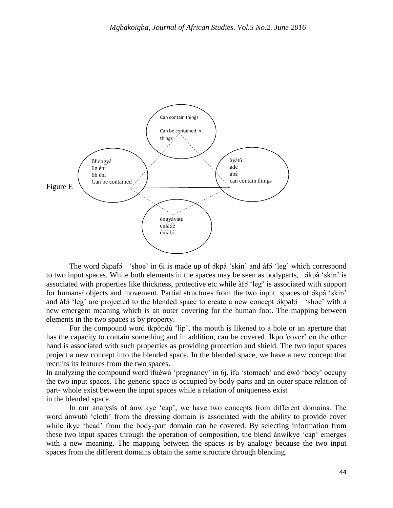

The word skpafs 'shoe' in 6i is made up of skpå 'skin' and  $\hat{a}$  'leg' which correspond to two input spaces. While both elements in the spaces may be seen as bodyparts,  $\delta k \hat{\rho}$  'skin' is associated with properties like thickness, protective etc while  $\delta f$  'leg' is associated with support for humans/ objects and movement. Partial structures from the two input spaces of  $\alpha$ kpâ 'skin' and àf o 'leg' are projected to the blended space to create a new concept  $\alpha$  'shoe' with a new emergent meaning which is an outer covering for the human foot. The mapping between elements in the two spaces is by property.

For the compound word ikpondu 'lip', the mouth is likened to a hole or an aperture that has the capacity to contain something and in addition, can be covered. Ìkpo 'cover' on the other hand is associated with such properties as providing protection and shield. The two input spaces project a new concept into the blended space. In the blended space, we have a new concept that recruits its features from the two spaces.

In analyzing the compound word ìfuèwô 'pregnancy' in 6j, ìfu 'stomach' and èwô 'body' occupy the two input spaces. The generic space is occupied by body-parts and an outer space relation of part- whole exist between the input spaces while a relation of uniqueness exist in the blended space.

In our analysis of ànwìkye 'cap', we have two concepts from different domains. The word ànwutò 'cloth' from the dressing domain is associated with the ability to provide cover while ìkye 'head' from the body-part domain can be covered. By selecting information from these two input spaces through the operation of composition, the blend ànwìkye 'cap' emerges with a new meaning. The mapping between the spaces is by analogy because the two input spaces from the different domains obtain the same structure through blending.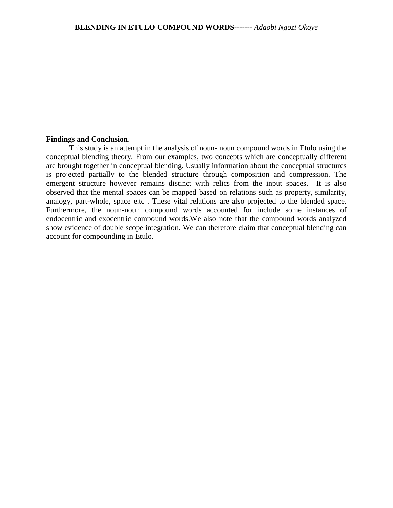## **Findings and Conclusion**.

This study is an attempt in the analysis of noun- noun compound words in Etulo using the conceptual blending theory. From our examples, two concepts which are conceptually different are brought together in conceptual blending. Usually information about the conceptual structures is projected partially to the blended structure through composition and compression. The emergent structure however remains distinct with relics from the input spaces. It is also observed that the mental spaces can be mapped based on relations such as property, similarity, analogy, part-whole, space e.tc . These vital relations are also projected to the blended space. Furthermore, the noun-noun compound words accounted for include some instances of endocentric and exocentric compound words.We also note that the compound words analyzed show evidence of double scope integration. We can therefore claim that conceptual blending can account for compounding in Etulo.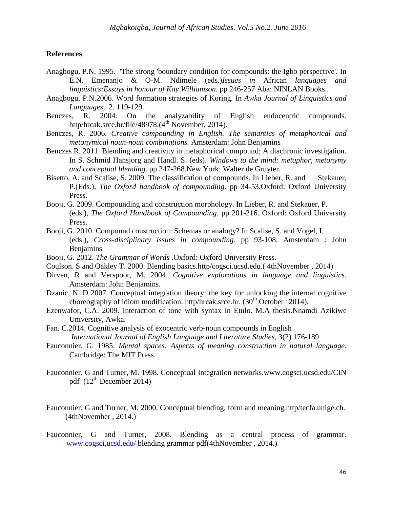## **References**

- Anagbogu, P.N. 1995. 'The strong 'boundary condition for compounds: the Igbo perspective'. In E.N. Emenanjo & O-M. Ndimele (eds.)*Issues in* African *languages and linguistics:Essays in honour of Kay Williamson.* pp 246-257 Aba: NINLAN Books..
- Anagbogu, P.N.2006. Word formation strategies of Koring. In *Awka Journal of Linguistics and Languages,* 2. 119-129.
- Benczes, R. 2004. On the analyzability of English endocentric compounds. http/hrcak.srce.hr/file/48978. $(4<sup>th</sup>$  November, 2014).
- Benczes, R. 2006. *Creative compounding in English. The semantics of metaphorical and metonymical noun-noun combinations.* Amsterdam: John Benjamins
- Benczes R. 2011. Blending and creativity in metaphorical compound; A diachronic investigation. In S. Schmid Hansjorg and Handl. S. (eds). *Windows to the mind: metaphor, metonymy and conceptual blending*. pp 247-268.New York: Walter de Gruyter.
- Bisetto, A. and Scalise, S. 2009. The classification of compounds. In Lieber, R. and Stekauer, P.(Eds.), *The Oxford handbook of compounding*. pp 34-53.Oxford: Oxford University Press.
- Booji, G. 2009. Compounding and construction morphology. In Lieber, R. and Stekauer, P. (eds.), *The Oxford Handbook of Compounding*. pp 201-216. Oxford: Oxford University Press.
- Booji, G. 2010. Compound construction: Schemas or analogy? In Scalise, S. and Vogel, I. (eds.), *Cross-disciplinary issues in compounding*. pp 93-108. Amsterdam : John **Benjamins**
- Booji, G. 2012. *The Grammar of Words* .Oxford: Oxford University Press.
- Coulson. S and Oakley T. 2000. Blending basics.http/cogsci.ucsd.edu.( 4thNovember , 2014)
- Dirven, R and Verspoor, M. 2004. *Cognitive explorations in language and linguistics*. Amsterdam: John Benjamins.
- Dzanic, N. D 2007. Conceptual integration theory: the key for unlocking the internal cognitive choreography of idiom modification. http/hrcak.srce.hr.  $(30<sup>th</sup> October 2014)$ .
- Ezenwafor, C.A. 2009. Interaction of tone with syntax in Etulo. M.A thesis.Nnamdi Azikiwe University, Awka.
- Fan. C.2014. Cognitive analysis of exocentric verb-noun compounds in English *International Journal of English Language and Literature Studies*, 3(2) 176-189
- Fauconnier, G. 1985. *Mental spaces: Aspects of meaning construction in natural language.*  Cambridge: The MIT Press
- Fauconnier, G and Turner, M. 1998. Conceptual Integration networks.www.cogsci,ucsd.edu/CIN pdf  $(12<sup>th</sup> December 2014)$
- Fauconnier, G and Turner, M. 2000. Conceptual blending, form and meaning.http/tecfa.unige.ch. (4thNovember , 2014.)
- Fauconnier, G and Turner, 2008. Blending as a central process of grammar. [www.cogsci,ucsd.edu/](http://www.cogsci,ucsd.edu/) blending grammar pdf(4thNovember , 2014.)